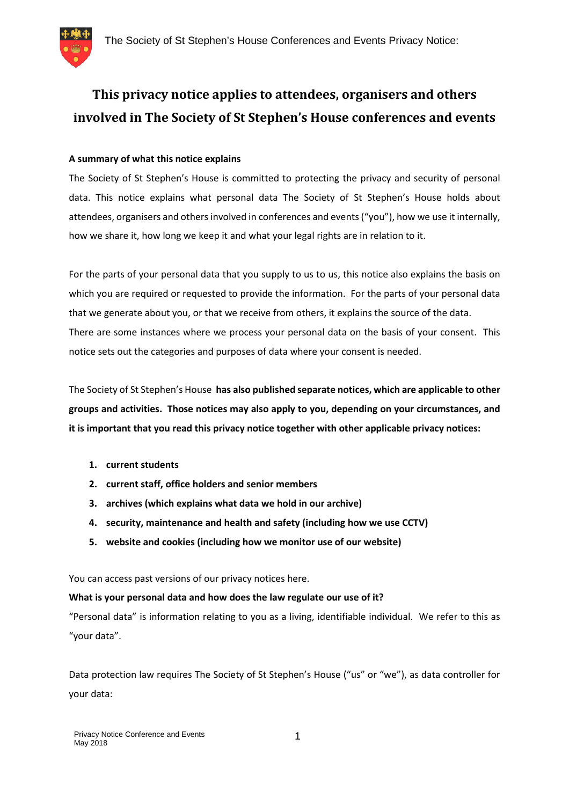

# **This privacy notice applies to attendees, organisers and others involved in The Society of St Stephen's House conferences and events**

# **A summary of what this notice explains**

The Society of St Stephen's House is committed to protecting the privacy and security of personal data. This notice explains what personal data The Society of St Stephen's House holds about attendees, organisers and others involved in conferences and events ("you"), how we use it internally, how we share it, how long we keep it and what your legal rights are in relation to it.

For the parts of your personal data that you supply to us to us, this notice also explains the basis on which you are required or requested to provide the information. For the parts of your personal data that we generate about you, or that we receive from others, it explains the source of the data. There are some instances where we process your personal data on the basis of your consent. This notice sets out the categories and purposes of data where your consent is needed.

The Society of St Stephen's House **has also published separate notices, which are applicable to other groups and activities. Those notices may also apply to you, depending on your circumstances, and it is important that you read this privacy notice together with other applicable privacy notices:**

- **1. current students**
- **2. current staff, office holders and senior members**
- **3. archives (which explains what data we hold in our archive)**
- **4. security, maintenance and health and safety (including how we use CCTV)**
- **5. website and cookies (including how we monitor use of our website)**

You can access past versions of our privacy notices here.

## **What is your personal data and how does the law regulate our use of it?**

"Personal data" is information relating to you as a living, identifiable individual. We refer to this as "your data".

Data protection law requires The Society of St Stephen's House ("us" or "we"), as data controller for your data: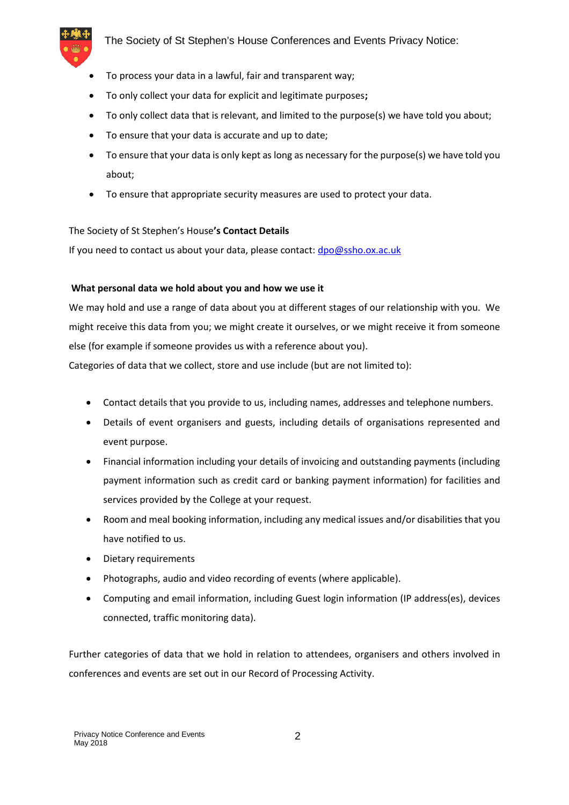

The Society of St Stephen's House Conferences and Events Privacy Notice:

- To process your data in a lawful, fair and transparent way;
- To only collect your data for explicit and legitimate purposes**;**
- To only collect data that is relevant, and limited to the purpose(s) we have told you about;
- To ensure that your data is accurate and up to date;
- To ensure that your data is only kept as long as necessary for the purpose(s) we have told you about;
- To ensure that appropriate security measures are used to protect your data.

#### The Society of St Stephen's House**'s Contact Details**

If you need to contact us about your data, please contact: dpo@ssho.ox.ac.uk

#### **What personal data we hold about you and how we use it**

We may hold and use a range of data about you at different stages of our relationship with you. We might receive this data from you; we might create it ourselves, or we might receive it from someone else (for example if someone provides us with a reference about you).

Categories of data that we collect, store and use include (but are not limited to):

- Contact details that you provide to us, including names, addresses and telephone numbers.
- Details of event organisers and guests, including details of organisations represented and event purpose.
- Financial information including your details of invoicing and outstanding payments (including payment information such as credit card or banking payment information) for facilities and services provided by the College at your request.
- Room and meal booking information, including any medical issues and/or disabilities that you have notified to us.
- Dietary requirements
- Photographs, audio and video recording of events (where applicable).
- Computing and email information, including Guest login information (IP address(es), devices connected, traffic monitoring data).

Further categories of data that we hold in relation to attendees, organisers and others involved in conferences and events are set out in our Record of Processing Activity.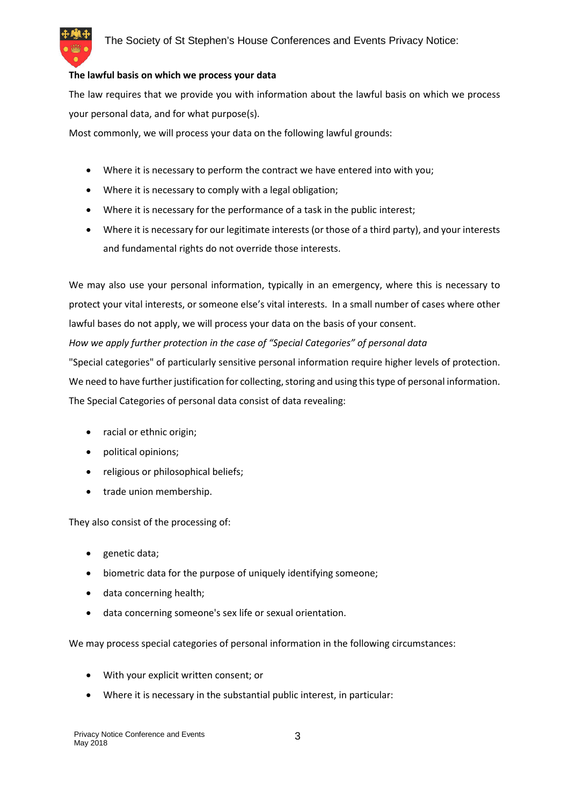## **The lawful basis on which we process your data**

The law requires that we provide you with information about the lawful basis on which we process your personal data, and for what purpose(s).

Most commonly, we will process your data on the following lawful grounds:

- Where it is necessary to perform the contract we have entered into with you;
- Where it is necessary to comply with a legal obligation;
- Where it is necessary for the performance of a task in the public interest;
- Where it is necessary for our legitimate interests (or those of a third party), and your interests and fundamental rights do not override those interests.

We may also use your personal information, typically in an emergency, where this is necessary to protect your vital interests, or someone else's vital interests. In a small number of cases where other lawful bases do not apply, we will process your data on the basis of your consent.

*How we apply further protection in the case of "Special Categories" of personal data*

"Special categories" of particularly sensitive personal information require higher levels of protection. We need to have further justification for collecting, storing and using this type of personal information. The Special Categories of personal data consist of data revealing:

- racial or ethnic origin;
- political opinions;
- religious or philosophical beliefs;
- trade union membership.

They also consist of the processing of:

- genetic data;
- biometric data for the purpose of uniquely identifying someone;
- data concerning health;
- data concerning someone's sex life or sexual orientation.

We may process special categories of personal information in the following circumstances:

- With your explicit written consent; or
- Where it is necessary in the substantial public interest, in particular: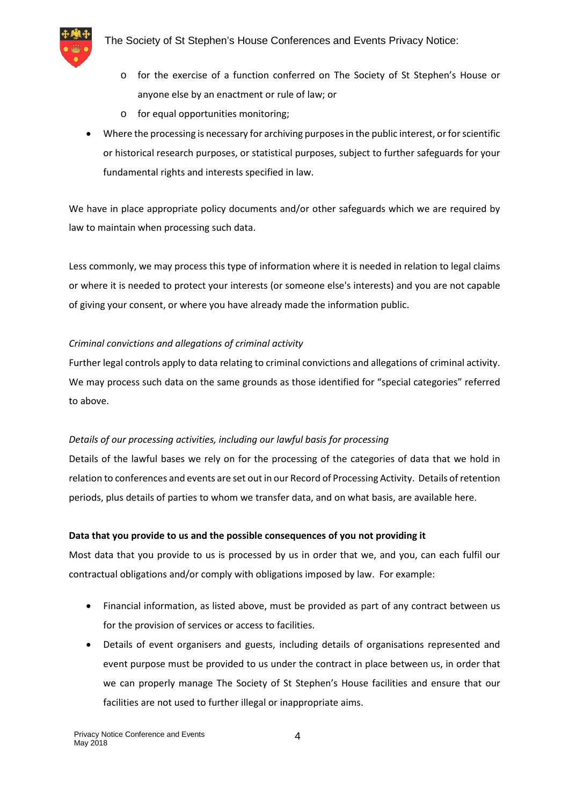

- o for the exercise of a function conferred on The Society of St Stephen's House or anyone else by an enactment or rule of law; or
- o for equal opportunities monitoring;
- Where the processing is necessary for archiving purposes in the public interest, or for scientific or historical research purposes, or statistical purposes, subject to further safeguards for your fundamental rights and interests specified in law.

We have in place appropriate policy documents and/or other safeguards which we are required by law to maintain when processing such data.

Less commonly, we may process this type of information where it is needed in relation to legal claims or where it is needed to protect your interests (or someone else's interests) and you are not capable of giving your consent, or where you have already made the information public.

# *Criminal convictions and allegations of criminal activity*

Further legal controls apply to data relating to criminal convictions and allegations of criminal activity. We may process such data on the same grounds as those identified for "special categories" referred to above.

## *Details of our processing activities, including our lawful basis for processing*

Details of the lawful bases we rely on for the processing of the categories of data that we hold in relation to conferences and events are set out in our Record of Processing Activity. Details of retention periods, plus details of parties to whom we transfer data, and on what basis, are available here.

## **Data that you provide to us and the possible consequences of you not providing it**

Most data that you provide to us is processed by us in order that we, and you, can each fulfil our contractual obligations and/or comply with obligations imposed by law. For example:

- Financial information, as listed above, must be provided as part of any contract between us for the provision of services or access to facilities.
- Details of event organisers and guests, including details of organisations represented and event purpose must be provided to us under the contract in place between us, in order that we can properly manage The Society of St Stephen's House facilities and ensure that our facilities are not used to further illegal or inappropriate aims.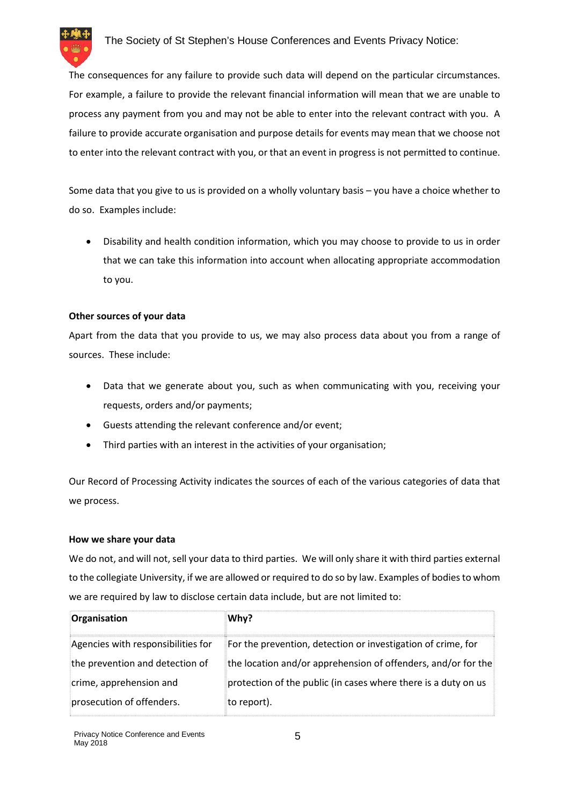

The consequences for any failure to provide such data will depend on the particular circumstances. For example, a failure to provide the relevant financial information will mean that we are unable to process any payment from you and may not be able to enter into the relevant contract with you. A failure to provide accurate organisation and purpose details for events may mean that we choose not to enter into the relevant contract with you, or that an event in progress is not permitted to continue.

Some data that you give to us is provided on a wholly voluntary basis – you have a choice whether to do so. Examples include:

 Disability and health condition information, which you may choose to provide to us in order that we can take this information into account when allocating appropriate accommodation to you.

# **Other sources of your data**

Apart from the data that you provide to us, we may also process data about you from a range of sources. These include:

- Data that we generate about you, such as when communicating with you, receiving your requests, orders and/or payments;
- Guests attending the relevant conference and/or event;
- Third parties with an interest in the activities of your organisation;

Our Record of Processing Activity indicates the sources of each of the various categories of data that we process.

## **How we share your data**

We do not, and will not, sell your data to third parties. We will only share it with third parties external to the collegiate University, if we are allowed or required to do so by law. Examples of bodies to whom we are required by law to disclose certain data include, but are not limited to:

| Organisation                       | Why?                                                           |
|------------------------------------|----------------------------------------------------------------|
| Agencies with responsibilities for | For the prevention, detection or investigation of crime, for   |
| the prevention and detection of    | the location and/or apprehension of offenders, and/or for the  |
| crime, apprehension and            | protection of the public (in cases where there is a duty on us |
| prosecution of offenders.          | to report).                                                    |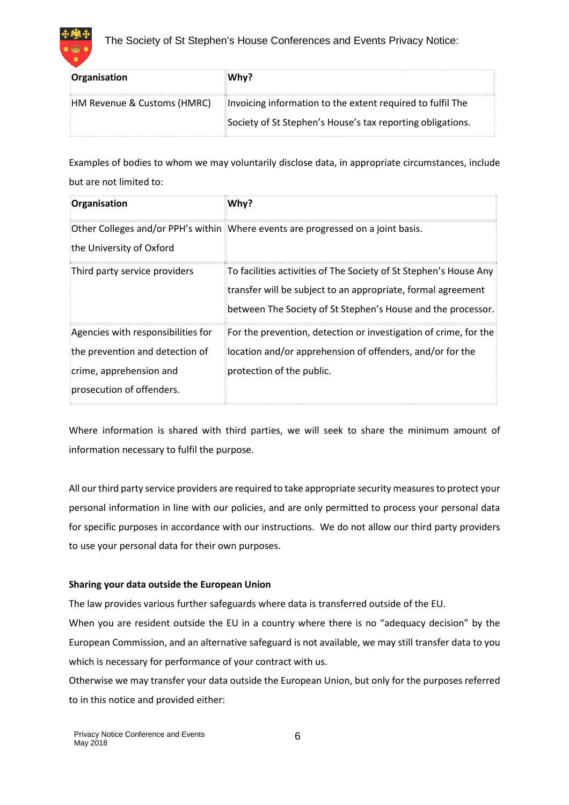



| Organisation                | Whv?                                                       |
|-----------------------------|------------------------------------------------------------|
| HM Revenue & Customs (HMRC) | Invoicing information to the extent required to fulfil The |
|                             | Society of St Stephen's House's tax reporting obligations. |

Examples of bodies to whom we may voluntarily disclose data, in appropriate circumstances, include but are not limited to:

| Organisation                                         | Why?                                                                                                                                                                                              |
|------------------------------------------------------|---------------------------------------------------------------------------------------------------------------------------------------------------------------------------------------------------|
| the University of Oxford                             | Other Colleges and/or PPH's within Where events are progressed on a joint basis.                                                                                                                  |
| Third party service providers                        | To facilities activities of The Society of St Stephen's House Any<br>transfer will be subject to an appropriate, formal agreement<br>between The Society of St Stephen's House and the processor. |
| Agencies with responsibilities for                   | For the prevention, detection or investigation of crime, for the                                                                                                                                  |
| the prevention and detection of                      | location and/or apprehension of offenders, and/or for the                                                                                                                                         |
| crime, apprehension and<br>prosecution of offenders. | protection of the public.                                                                                                                                                                         |

Where information is shared with third parties, we will seek to share the minimum amount of information necessary to fulfil the purpose.

All our third party service providers are required to take appropriate security measures to protect your personal information in line with our policies, and are only permitted to process your personal data for specific purposes in accordance with our instructions. We do not allow our third party providers to use your personal data for their own purposes.

# **Sharing your data outside the European Union**

The law provides various further safeguards where data is transferred outside of the EU.

When you are resident outside the EU in a country where there is no "adequacy decision" by the European Commission, and an alternative safeguard is not available, we may still transfer data to you which is necessary for performance of your contract with us.

Otherwise we may transfer your data outside the European Union, but only for the purposes referred to in this notice and provided either: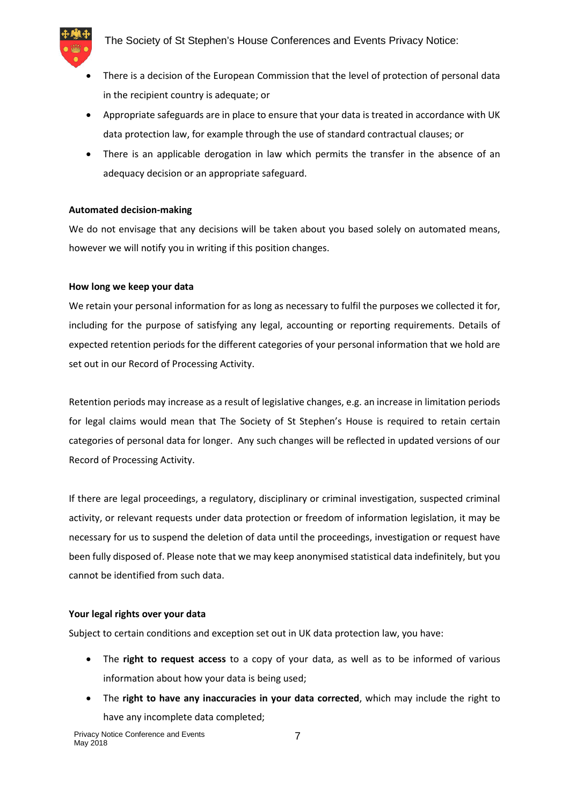

- There is a decision of the European Commission that the level of protection of personal data in the recipient country is adequate; or
- Appropriate safeguards are in place to ensure that your data is treated in accordance with UK data protection law, for example through the use of standard contractual clauses; or
- There is an applicable derogation in law which permits the transfer in the absence of an adequacy decision or an appropriate safeguard.

## **Automated decision-making**

We do not envisage that any decisions will be taken about you based solely on automated means, however we will notify you in writing if this position changes.

#### **How long we keep your data**

We retain your personal information for as long as necessary to fulfil the purposes we collected it for, including for the purpose of satisfying any legal, accounting or reporting requirements. Details of expected retention periods for the different categories of your personal information that we hold are set out in our Record of Processing Activity.

Retention periods may increase as a result of legislative changes, e.g. an increase in limitation periods for legal claims would mean that The Society of St Stephen's House is required to retain certain categories of personal data for longer. Any such changes will be reflected in updated versions of our Record of Processing Activity.

If there are legal proceedings, a regulatory, disciplinary or criminal investigation, suspected criminal activity, or relevant requests under data protection or freedom of information legislation, it may be necessary for us to suspend the deletion of data until the proceedings, investigation or request have been fully disposed of. Please note that we may keep anonymised statistical data indefinitely, but you cannot be identified from such data.

#### **Your legal rights over your data**

Subject to certain conditions and exception set out in UK data protection law, you have:

- The **right to request access** to a copy of your data, as well as to be informed of various information about how your data is being used;
- The **right to have any inaccuracies in your data corrected**, which may include the right to have any incomplete data completed;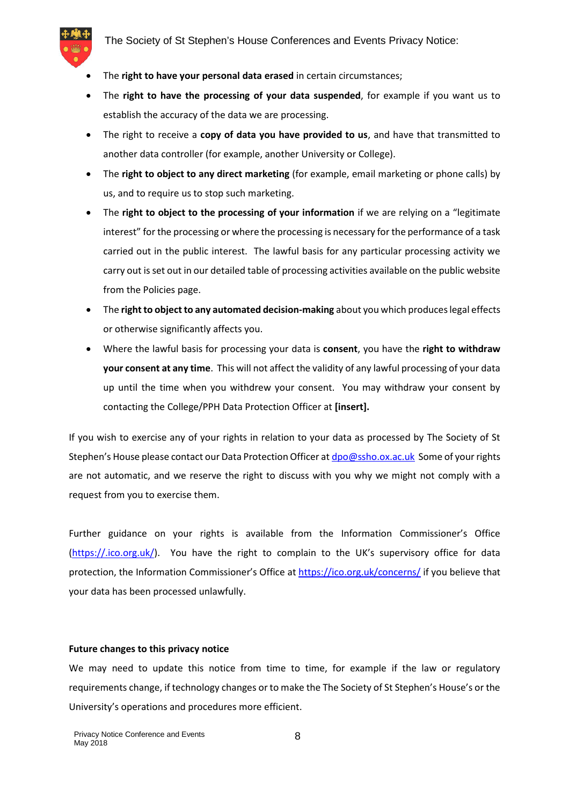

- The **right to have your personal data erased** in certain circumstances;
- The **right to have the processing of your data suspended**, for example if you want us to establish the accuracy of the data we are processing.
- The right to receive a **copy of data you have provided to us**, and have that transmitted to another data controller (for example, another University or College).
- The **right to object to any direct marketing** (for example, email marketing or phone calls) by us, and to require us to stop such marketing.
- The **right to object to the processing of your information** if we are relying on a "legitimate interest" for the processing or where the processing is necessary for the performance of a task carried out in the public interest. The lawful basis for any particular processing activity we carry out is set out in our detailed table of processing activities available on the public website from the Policies page.
- The **right to object to any automated decision-making** about you which produces legal effects or otherwise significantly affects you.
- Where the lawful basis for processing your data is **consent**, you have the **right to withdraw your consent at any time**. This will not affect the validity of any lawful processing of your data up until the time when you withdrew your consent. You may withdraw your consent by contacting the College/PPH Data Protection Officer at **[insert].**

If you wish to exercise any of your rights in relation to your data as processed by The Society of St Stephen's House please contact our Data Protection Officer at dpo@ssho.ox.ac.uk Some of your rights are not automatic, and we reserve the right to discuss with you why we might not comply with a request from you to exercise them.

Further guidance on your rights is available from the Information Commissioner's Office (https://.ico.org.uk/). You have the right to complain to the UK's supervisory office for data protection, the Information Commissioner's Office at https://ico.org.uk/concerns/ if you believe that your data has been processed unlawfully.

#### **Future changes to this privacy notice**

We may need to update this notice from time to time, for example if the law or regulatory requirements change, if technology changes or to make the The Society of St Stephen's House's or the University's operations and procedures more efficient.